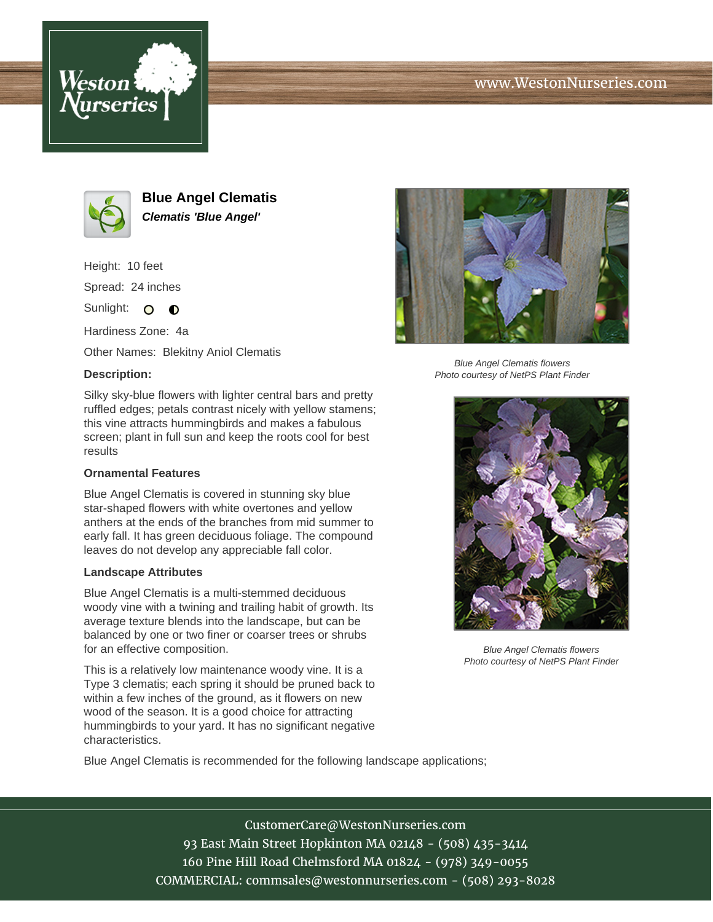





**Blue Angel Clematis Clematis 'Blue Angel'**

Height: 10 feet Spread: 24 inches

Sunlight: O **O** 

Hardiness Zone: 4a

Other Names: Blekitny Aniol Clematis

## **Description:**

Silky sky-blue flowers with lighter central bars and pretty ruffled edges; petals contrast nicely with yellow stamens; this vine attracts hummingbirds and makes a fabulous screen; plant in full sun and keep the roots cool for best results

## **Ornamental Features**

Blue Angel Clematis is covered in stunning sky blue star-shaped flowers with white overtones and yellow anthers at the ends of the branches from mid summer to early fall. It has green deciduous foliage. The compound leaves do not develop any appreciable fall color.

## **Landscape Attributes**

Blue Angel Clematis is a multi-stemmed deciduous woody vine with a twining and trailing habit of growth. Its average texture blends into the landscape, but can be balanced by one or two finer or coarser trees or shrubs for an effective composition.

This is a relatively low maintenance woody vine. It is a Type 3 clematis; each spring it should be pruned back to within a few inches of the ground, as it flowers on new wood of the season. It is a good choice for attracting hummingbirds to your yard. It has no significant negative characteristics.



Blue Angel Clematis flowers Photo courtesy of NetPS Plant Finder



Blue Angel Clematis flowers Photo courtesy of NetPS Plant Finder

Blue Angel Clematis is recommended for the following landscape applications;

CustomerCare@WestonNurseries.com 93 East Main Street Hopkinton MA 02148 - (508) 435-3414 160 Pine Hill Road Chelmsford MA 01824 - (978) 349-0055 COMMERCIAL: commsales@westonnurseries.com - (508) 293-8028